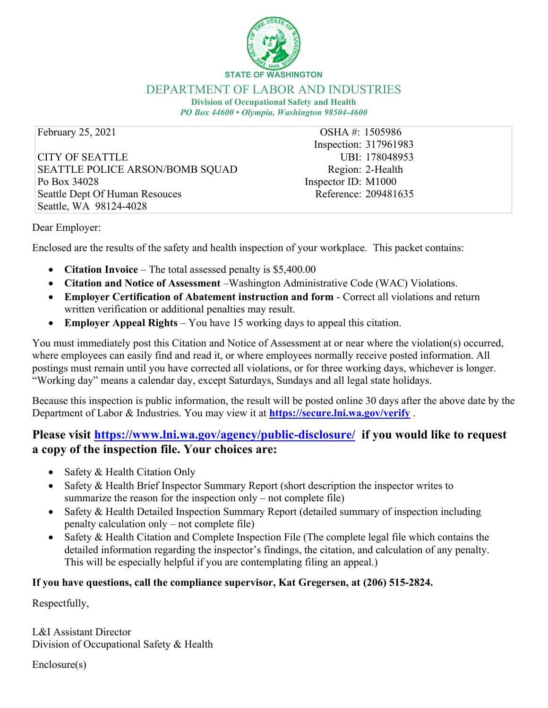

**STATE OF WASHINGTON**

### DEPARTMENT OF LABOR AND INDUSTRIES

**Division of Occupational Safety and Health** *PO Box 44600 • Olympia, Washington 98504-4600*

February 25, 2021 **OSHA #: 1505986** 

CITY OF SEATTLE SEATTLE POLICE ARSON/BOMB SQUAD Po Box 34028 Seattle Dept Of Human Resouces Seattle, WA 98124-4028

Inspection: 317961983 UBI: 178048953 Region: 2-Health Inspector ID: M1000 Reference: 209481635

Dear Employer:

Enclosed are the results of the safety and health inspection of your workplace. This packet contains:

- · **Citation Invoice** The total assessed penalty is \$5,400.00
- · **Citation and Notice of Assessment** –Washington Administrative Code (WAC) Violations.
- · **Employer Certification of Abatement instruction and form** Correct all violations and return written verification or additional penalties may result.
- · **Employer Appeal Rights** You have 15 working days to appeal this citation.

You must immediately post this Citation and Notice of Assessment at or near where the violation(s) occurred, where employees can easily find and read it, or where employees normally receive posted information. All postings must remain until you have corrected all violations, or for three working days, whichever is longer. "Working day" means a calendar day, except Saturdays, Sundays and all legal state holidays.

Because this inspection is public information, the result will be posted online 30 days after the above date by the Department of Labor & Industries. You may view it at **<https://secure.lni.wa.gov/verify>** .

## **Please visit <https://www.lni.wa.gov/agency/public-disclosure/> if you would like to request a copy of the inspection file. Your choices are:**

- Safety & Health Citation Only
- · Safety & Health Brief Inspector Summary Report (short description the inspector writes to summarize the reason for the inspection only – not complete file)
- Safety & Health Detailed Inspection Summary Report (detailed summary of inspection including penalty calculation only – not complete file)
- Safety  $&$  Health Citation and Complete Inspection File (The complete legal file which contains the detailed information regarding the inspector's findings, the citation, and calculation of any penalty. This will be especially helpful if you are contemplating filing an appeal.)

## **If you have questions, call the compliance supervisor, Kat Gregersen, at (206) 515-2824.**

Respectfully,

L&I Assistant Director Division of Occupational Safety & Health

Enclosure(s)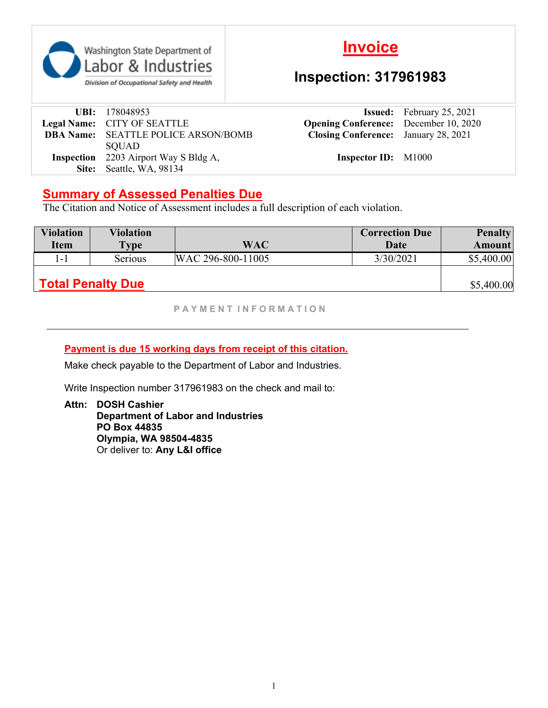

# **Invoice**

# **Inspection: 317961983**

| <b>UBI:</b> 178048953                        |
|----------------------------------------------|
| Legal Name: CITY OF SEATTLE                  |
| <b>DBA Name:</b> SEATTLE POLICE ARSON/BOMB   |
| <b>SQUAD</b>                                 |
| <b>Inspection</b> 2203 Airport Way S Bldg A, |
| Site: Seattle, WA, 98134                     |

**Issued:** February 25, 2021 **Opening Conference:** December 10, 2020 **Closing Conference:** January 28, 2021

**Inspector ID:** M1000

## **Summary of Assessed Penalties Due**

The Citation and Notice of Assessment includes a full description of each violation.

| <b>Violation</b>         | <b>Violation</b> |                   | <b>Correction Due</b> | <b>Penalty</b> |
|--------------------------|------------------|-------------------|-----------------------|----------------|
| <b>Item</b>              | $\mathbf{Type}$  | <b>WAC</b>        | Date                  | Amount         |
| l - 1                    | Serious          | WAC 296-800-11005 | 3/30/2021             | \$5,400.00     |
| <b>Total Penalty Due</b> |                  |                   |                       | \$5,400.00     |

**P A Y M E N T I N F O R M A T I O N**

**\_\_\_\_\_\_\_\_\_\_\_\_\_\_\_\_\_\_\_\_\_\_\_\_\_\_\_\_\_\_\_\_\_\_\_\_\_\_\_\_\_\_\_\_\_\_\_\_\_\_\_\_\_**

## **Payment is due 15 working days from receipt of this citation.**

Make check payable to the Department of Labor and Industries.

Write Inspection number 317961983 on the check and mail to:

**Attn: DOSH Cashier Department of Labor and Industries PO Box 44835 Olympia, WA 98504-4835** Or deliver to: **Any L&I office**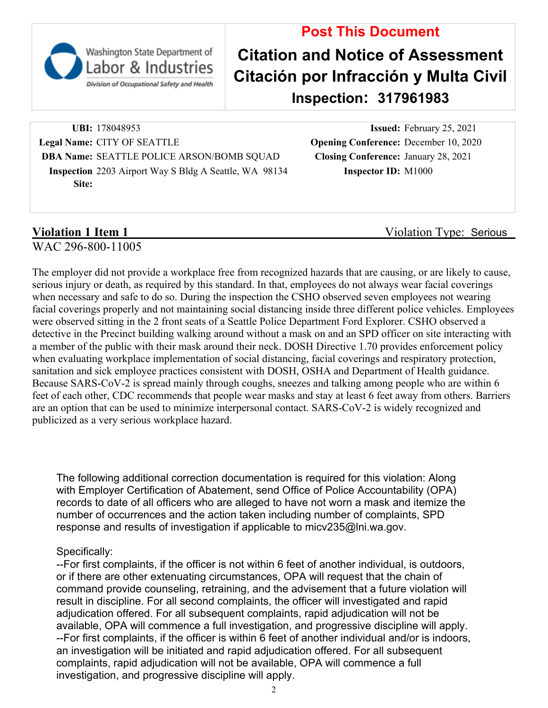

Division of Occupational Safety and Health

# **Post This Document Citation and Notice of Assessment Citación por Infracción y Multa Civil Inspection: 317961983**

**UBI:** 178048953 **Issued:** February 25, 2021 **Legal Name:** CITY OF SEATTLE **Opening Conference:** December 10, 2020 **DBA Name:** SEATTLE POLICE ARSON/BOMB SQUAD **Closing Conference:** January 28, 2021 **Inspection** 2203 Airport Way S Bldg A Seattle, WA 98134 **Inspector ID:** M1000 **Site:**

**Violation 1 Item 1** Violation Type: Serious

WAC 296-800-11005

The employer did not provide a workplace free from recognized hazards that are causing, or are likely to cause, serious injury or death, as required by this standard. In that, employees do not always wear facial coverings when necessary and safe to do so. During the inspection the CSHO observed seven employees not wearing facial coverings properly and not maintaining social distancing inside three different police vehicles. Employees were observed sitting in the 2 front seats of a Seattle Police Department Ford Explorer. CSHO observed a detective in the Precinct building walking around without a mask on and an SPD officer on site interacting with a member of the public with their mask around their neck. DOSH Directive 1.70 provides enforcement policy when evaluating workplace implementation of social distancing, facial coverings and respiratory protection, sanitation and sick employee practices consistent with DOSH, OSHA and Department of Health guidance. Because SARS-CoV-2 is spread mainly through coughs, sneezes and talking among people who are within 6 feet of each other, CDC recommends that people wear masks and stay at least 6 feet away from others. Barriers are an option that can be used to minimize interpersonal contact. SARS-CoV-2 is widely recognized and publicized as a very serious workplace hazard.

The following additional correction documentation is required for this violation: Along with Employer Certification of Abatement, send Office of Police Accountability (OPA) records to date of all officers who are alleged to have not worn a mask and itemize the number of occurrences and the action taken including number of complaints, SPD response and results of investigation if applicable to micv235@lni.wa.gov.

## Specifically:

--For first complaints, if the officer is not within 6 feet of another individual, is outdoors, or if there are other extenuating circumstances, OPA will request that the chain of command provide counseling, retraining, and the advisement that a future violation will result in discipline. For all second complaints, the officer will investigated and rapid adjudication offered. For all subsequent complaints, rapid adjudication will not be available, OPA will commence a full investigation, and progressive discipline will apply. --For first complaints, if the officer is within 6 feet of another individual and/or is indoors, an investigation will be initiated and rapid adjudication offered. For all subsequent complaints, rapid adjudication will not be available, OPA will commence a full investigation, and progressive discipline will apply.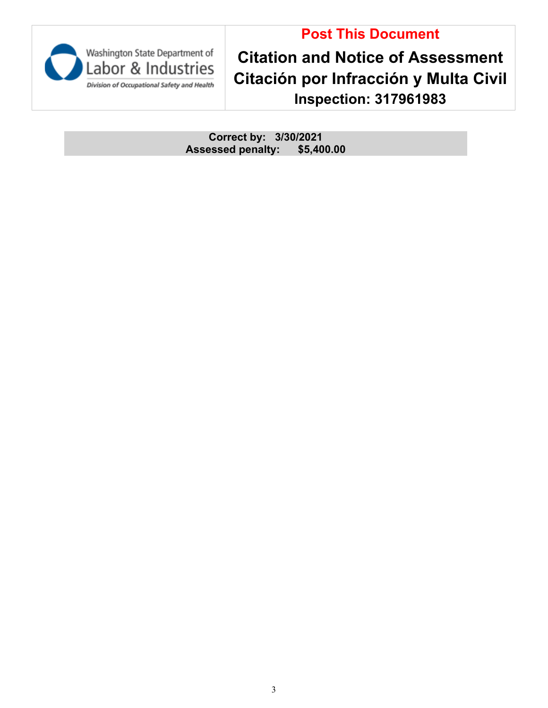# **Post This Document**



**Citation and Notice of Assessment Citación por Infracción y Multa Civil Inspection: 317961983**

**Correct by: 3/30/2021 Assessed penalty: \$5,400.00**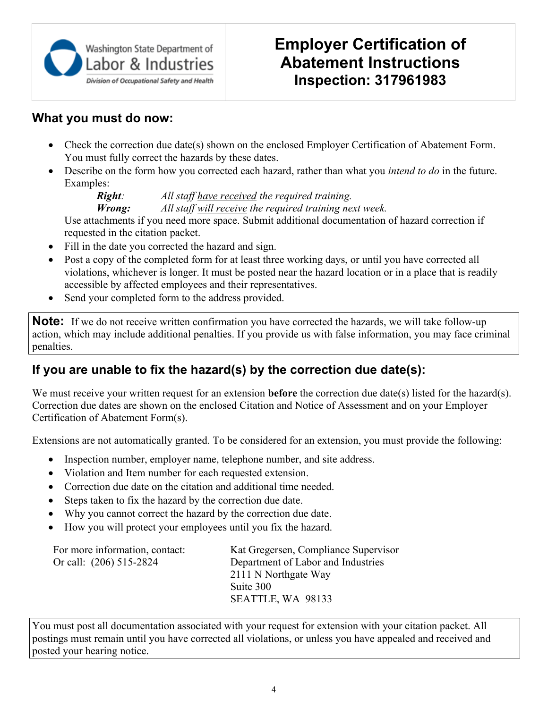

# **Employer Certification of Abatement Instructions Inspection: 317961983**

## **What you must do now:**

- Check the correction due date(s) shown on the enclosed Employer Certification of Abatement Form. You must fully correct the hazards by these dates.
- · Describe on the form how you corrected each hazard, rather than what you *intend to do* in the future. Examples:

*Right: All staff have received the required training.*

*Wrong: All staff will receive the required training next week.*

Use attachments if you need more space. Submit additional documentation of hazard correction if requested in the citation packet.

- Fill in the date you corrected the hazard and sign.
- Post a copy of the completed form for at least three working days, or until you have corrected all violations, whichever is longer. It must be posted near the hazard location or in a place that is readily accessible by affected employees and their representatives.
- Send your completed form to the address provided.

**Note:** If we do not receive written confirmation you have corrected the hazards, we will take follow-up action, which may include additional penalties. If you provide us with false information, you may face criminal penalties.

# **If you are unable to fix the hazard(s) by the correction due date(s):**

We must receive your written request for an extension **before** the correction due date(s) listed for the hazard(s). Correction due dates are shown on the enclosed Citation and Notice of Assessment and on your Employer Certification of Abatement Form(s).

Extensions are not automatically granted. To be considered for an extension, you must provide the following:

- Inspection number, employer name, telephone number, and site address.
- Violation and Item number for each requested extension.
- · Correction due date on the citation and additional time needed.
- Steps taken to fix the hazard by the correction due date.
- · Why you cannot correct the hazard by the correction due date.
- · How you will protect your employees until you fix the hazard.

| For more information, contact: | Kat Gregersen, Compliance Supervisor |
|--------------------------------|--------------------------------------|
| Or call: (206) 515-2824        | Department of Labor and Industries   |
|                                | 2111 N Northgate Way                 |
|                                | Suite 300                            |
|                                | SEATTLE, WA 98133                    |
|                                |                                      |

You must post all documentation associated with your request for extension with your citation packet. All postings must remain until you have corrected all violations, or unless you have appealed and received and posted your hearing notice.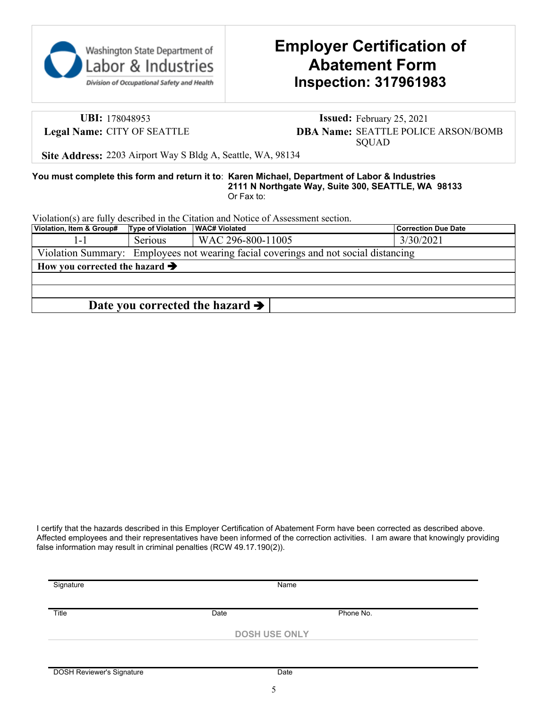

# **Employer Certification of Abatement Form Inspection: 317961983**

**UBI:** 178048953 **Issued:** February 25, 2021 **Legal Name:** CITY OF SEATTLE **DBA Name:** SEATTLE POLICE ARSON/BOMB SQUAD

**Site Address:** 2203 Airport Way S Bldg A, Seattle, WA, 98134

#### **You must complete this form and return it to**: **Karen Michael, Department of Labor & Industries 2111 N Northgate Way, Suite 300, SEATTLE, WA 98133** Or Fax to:

Violation(s) are fully described in the Citation and Notice of Assessment section.

| Violation, Item & Group#                                                            | <b>Type of Violation</b> | <b>WAC# Violated</b>                        | <b>Correction Due Date</b> |  |
|-------------------------------------------------------------------------------------|--------------------------|---------------------------------------------|----------------------------|--|
|                                                                                     | Serious                  | WAC 296-800-11005                           | 3/30/2021                  |  |
| Violation Summary: Employees not wearing facial coverings and not social distancing |                          |                                             |                            |  |
| How you corrected the hazard $\rightarrow$                                          |                          |                                             |                            |  |
|                                                                                     |                          |                                             |                            |  |
|                                                                                     |                          |                                             |                            |  |
|                                                                                     |                          | Date you corrected the hazard $\rightarrow$ |                            |  |

I certify that the hazards described in this Employer Certification of Abatement Form have been corrected as described above. Affected employees and their representatives have been informed of the correction activities. I am aware that knowingly providing false information may result in criminal penalties (RCW 49.17.190(2)).

| Signature | Name                 |           |  |
|-----------|----------------------|-----------|--|
| Title     | Date                 | Phone No. |  |
|           | <b>DOSH USE ONLY</b> |           |  |
|           |                      |           |  |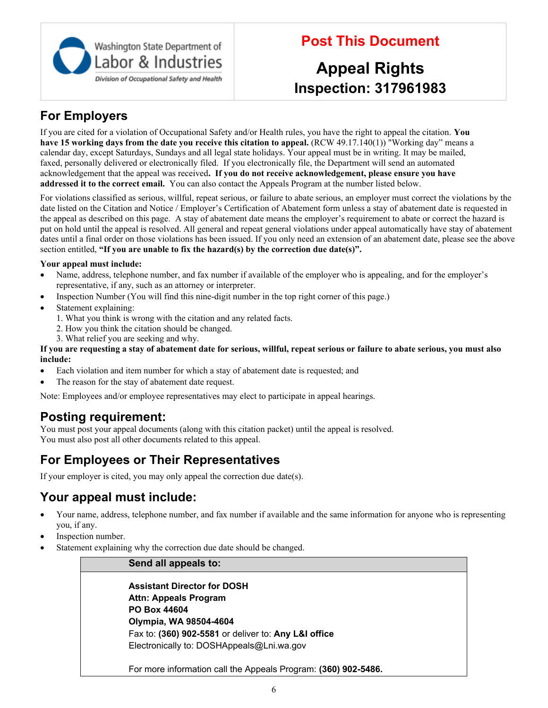

# **Post This Document**

# **Appeal Rights Inspection: 317961983**

# **For Employers**

If you are cited for a violation of Occupational Safety and/or Health rules, you have the right to appeal the citation. **You have 15 working days from the date you receive this citation to appeal.** (RCW 49.17.140(1)) "Working day" means a calendar day, except Saturdays, Sundays and all legal state holidays. Your appeal must be in writing. It may be mailed, faxed, personally delivered or electronically filed. If you electronically file, the Department will send an automated acknowledgement that the appeal was received**. If you do not receive acknowledgement, please ensure you have addressed it to the correct email.** You can also contact the Appeals Program at the number listed below.

For violations classified as serious, willful, repeat serious, or failure to abate serious, an employer must correct the violations by the date listed on the Citation and Notice / Employer's Certification of Abatement form unless a stay of abatement date is requested in the appeal as described on this page. A stay of abatement date means the employer's requirement to abate or correct the hazard is put on hold until the appeal is resolved. All general and repeat general violations under appeal automatically have stay of abatement dates until a final order on those violations has been issued. If you only need an extension of an abatement date, please see the above section entitled, **"If you are unable to fix the hazard(s) by the correction due date(s)".**

### **Your appeal must include:**

- · Name, address, telephone number, and fax number if available of the employer who is appealing, and for the employer's representative, if any, such as an attorney or interpreter.
- Inspection Number (You will find this nine-digit number in the top right corner of this page.)
- Statement explaining:
	- 1. What you think is wrong with the citation and any related facts.
	- 2. How you think the citation should be changed.
	- 3. What relief you are seeking and why.

#### **If you are requesting a stay of abatement date for serious, willful, repeat serious or failure to abate serious, you must also include:**

- Each violation and item number for which a stay of abatement date is requested; and
- The reason for the stay of abatement date request.

Note: Employees and/or employee representatives may elect to participate in appeal hearings.

## **Posting requirement:**

You must post your appeal documents (along with this citation packet) until the appeal is resolved. You must also post all other documents related to this appeal.

# **For Employees or Their Representatives**

If your employer is cited, you may only appeal the correction due date(s).

# **Your appeal must include:**

- · Your name, address, telephone number, and fax number if available and the same information for anyone who is representing you, if any.
- Inspection number.
- Statement explaining why the correction due date should be changed.

### **Send all appeals to:**

**Assistant Director for DOSH Attn: Appeals Program PO Box 44604 Olympia, WA 98504-4604** Fax to: **(360) 902-5581** or deliver to: **Any L&I office** Electronically to: DOSHAppeals@Lni.wa.gov

For more information call the Appeals Program: **(360) 902-5486.**